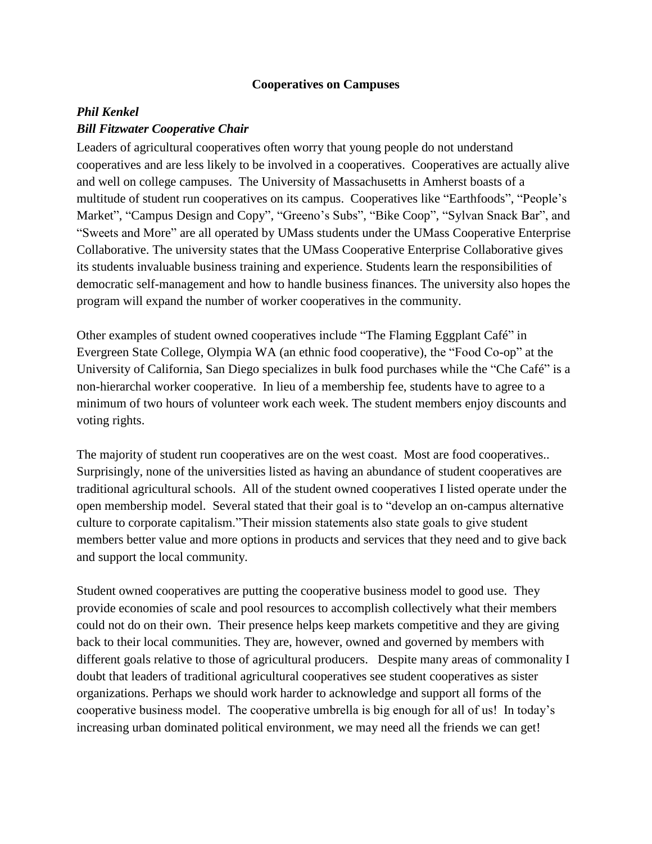## **Cooperatives on Campuses**

## *Phil Kenkel Bill Fitzwater Cooperative Chair*

Leaders of agricultural cooperatives often worry that young people do not understand cooperatives and are less likely to be involved in a cooperatives. Cooperatives are actually alive and well on college campuses. The University of Massachusetts in Amherst boasts of a multitude of student run cooperatives on its campus. Cooperatives like "Earthfoods", "People's Market", "Campus Design and Copy", "Greeno's Subs", "Bike Coop", "Sylvan Snack Bar", and "Sweets and More" are all operated by UMass students under the UMass Cooperative Enterprise Collaborative. The university states that the UMass Cooperative Enterprise Collaborative gives its students invaluable business training and experience. Students learn the responsibilities of democratic self-management and how to handle business finances. The university also hopes the program will expand the number of worker cooperatives in the community.

Other examples of student owned cooperatives include "The Flaming Eggplant Café" in Evergreen State College, Olympia WA (an ethnic food cooperative), the "Food Co-op" at the University of California, San Diego specializes in bulk food purchases while the "Che Café" is a non-hierarchal worker cooperative. In lieu of a membership fee, students have to agree to a minimum of two hours of volunteer work each week. The student members enjoy discounts and voting rights.

The majority of student run cooperatives are on the west coast. Most are food cooperatives.. Surprisingly, none of the universities listed as having an abundance of student cooperatives are traditional agricultural schools. All of the student owned cooperatives I listed operate under the open membership model. Several stated that their goal is to "develop an on-campus alternative culture to corporate capitalism."Their mission statements also state goals to give student members better value and more options in products and services that they need and to give back and support the local community.

Student owned cooperatives are putting the cooperative business model to good use. They provide economies of scale and pool resources to accomplish collectively what their members could not do on their own. Their presence helps keep markets competitive and they are giving back to their local communities. They are, however, owned and governed by members with different goals relative to those of agricultural producers. Despite many areas of commonality I doubt that leaders of traditional agricultural cooperatives see student cooperatives as sister organizations. Perhaps we should work harder to acknowledge and support all forms of the cooperative business model. The cooperative umbrella is big enough for all of us! In today's increasing urban dominated political environment, we may need all the friends we can get!